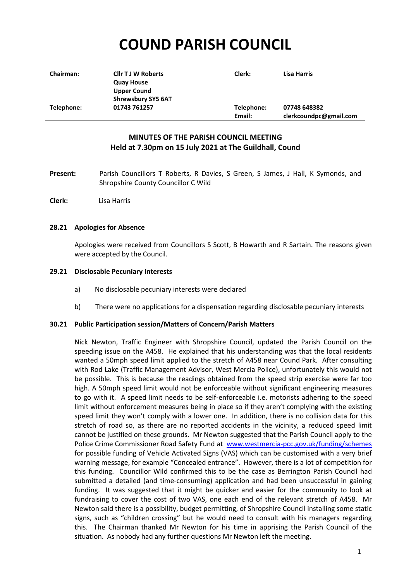# **COUND PARISH COUNCIL**

| <b>Chairman:</b> | <b>Cllr T J W Roberts</b> | Clerk:     | Lisa Harris            |
|------------------|---------------------------|------------|------------------------|
|                  | <b>Quay House</b>         |            |                        |
|                  | <b>Upper Cound</b>        |            |                        |
|                  | <b>Shrewsbury SY5 6AT</b> |            |                        |
| Telephone:       | 01743 761257              | Telephone: | 07748 648382           |
|                  |                           | Email:     | clerkcoundpc@gmail.com |

# **MINUTES OF THE PARISH COUNCIL MEETING Held at 7.30pm on 15 July 2021 at The Guildhall, Cound**

- **Present:** Parish Councillors T Roberts, R Davies, S Green, S James, J Hall, K Symonds, and Shropshire County Councillor C Wild
- **Clerk:** Lisa Harris

## **28.21 Apologies for Absence**

Apologies were received from Councillors S Scott, B Howarth and R Sartain. The reasons given were accepted by the Council.

#### **29.21 Disclosable Pecuniary Interests**

- a) No disclosable pecuniary interests were declared
- b) There were no applications for a dispensation regarding disclosable pecuniary interests

#### **30.21 Public Participation session/Matters of Concern/Parish Matters**

Nick Newton, Traffic Engineer with Shropshire Council, updated the Parish Council on the speeding issue on the A458. He explained that his understanding was that the local residents wanted a 50mph speed limit applied to the stretch of A458 near Cound Park. After consulting with Rod Lake (Traffic Management Advisor, West Mercia Police), unfortunately this would not be possible. This is because the readings obtained from the speed strip exercise were far too high. A 50mph speed limit would not be enforceable without significant engineering measures to go with it. A speed limit needs to be self-enforceable i.e. motorists adhering to the speed limit without enforcement measures being in place so if they aren't complying with the existing speed limit they won't comply with a lower one. In addition, there is no collision data for this stretch of road so, as there are no reported accidents in the vicinity, a reduced speed limit cannot be justified on these grounds. Mr Newton suggested that the Parish Council apply to the Police Crime Commissioner Road Safety Fund at [www.westmercia-pcc.gov.uk/funding/schemes](http://www.westmercia-pcc.gov.uk/funding/schemes) for possible funding of Vehicle Activated Signs (VAS) which can be customised with a very brief warning message, for example "Concealed entrance". However, there is a lot of competition for this funding. Councillor Wild confirmed this to be the case as Berrington Parish Council had submitted a detailed (and time-consuming) application and had been unsuccessful in gaining funding. It was suggested that it might be quicker and easier for the community to look at fundraising to cover the cost of two VAS, one each end of the relevant stretch of A458. Mr Newton said there is a possibility, budget permitting, of Shropshire Council installing some static signs, such as "children crossing" but he would need to consult with his managers regarding this. The Chairman thanked Mr Newton for his time in apprising the Parish Council of the situation. As nobody had any further questions Mr Newton left the meeting.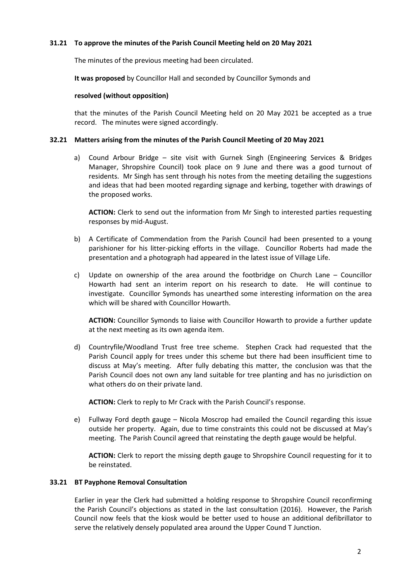## **31.21 To approve the minutes of the Parish Council Meeting held on 20 May 2021**

The minutes of the previous meeting had been circulated.

**It was proposed** by Councillor Hall and seconded by Councillor Symonds and

#### **resolved (without opposition)**

that the minutes of the Parish Council Meeting held on 20 May 2021 be accepted as a true record. The minutes were signed accordingly.

#### **32.21 Matters arising from the minutes of the Parish Council Meeting of 20 May 2021**

a) Cound Arbour Bridge – site visit with Gurnek Singh (Engineering Services & Bridges Manager, Shropshire Council) took place on 9 June and there was a good turnout of residents. Mr Singh has sent through his notes from the meeting detailing the suggestions and ideas that had been mooted regarding signage and kerbing, together with drawings of the proposed works.

**ACTION:** Clerk to send out the information from Mr Singh to interested parties requesting responses by mid-August.

- b) A Certificate of Commendation from the Parish Council had been presented to a young parishioner for his litter-picking efforts in the village. Councillor Roberts had made the presentation and a photograph had appeared in the latest issue of Village Life.
- c) Update on ownership of the area around the footbridge on Church Lane Councillor Howarth had sent an interim report on his research to date. He will continue to investigate. Councillor Symonds has unearthed some interesting information on the area which will be shared with Councillor Howarth.

**ACTION:** Councillor Symonds to liaise with Councillor Howarth to provide a further update at the next meeting as its own agenda item.

d) Countryfile/Woodland Trust free tree scheme. Stephen Crack had requested that the Parish Council apply for trees under this scheme but there had been insufficient time to discuss at May's meeting. After fully debating this matter, the conclusion was that the Parish Council does not own any land suitable for tree planting and has no jurisdiction on what others do on their private land.

**ACTION:** Clerk to reply to Mr Crack with the Parish Council's response.

e) Fullway Ford depth gauge – Nicola Moscrop had emailed the Council regarding this issue outside her property. Again, due to time constraints this could not be discussed at May's meeting. The Parish Council agreed that reinstating the depth gauge would be helpful.

**ACTION:** Clerk to report the missing depth gauge to Shropshire Council requesting for it to be reinstated.

#### **33.21 BT Payphone Removal Consultation**

Earlier in year the Clerk had submitted a holding response to Shropshire Council reconfirming the Parish Council's objections as stated in the last consultation (2016). However, the Parish Council now feels that the kiosk would be better used to house an additional defibrillator to serve the relatively densely populated area around the Upper Cound T Junction.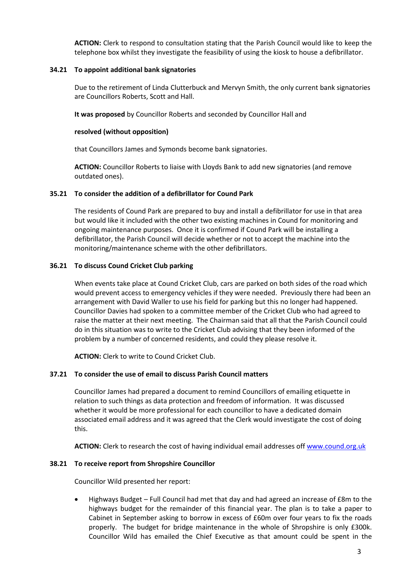**ACTION:** Clerk to respond to consultation stating that the Parish Council would like to keep the telephone box whilst they investigate the feasibility of using the kiosk to house a defibrillator.

## **34.21 To appoint additional bank signatories**

Due to the retirement of Linda Clutterbuck and Mervyn Smith, the only current bank signatories are Councillors Roberts, Scott and Hall.

**It was proposed** by Councillor Roberts and seconded by Councillor Hall and

# **resolved (without opposition)**

that Councillors James and Symonds become bank signatories.

**ACTION:** Councillor Roberts to liaise with Lloyds Bank to add new signatories (and remove outdated ones).

# **35.21 To consider the addition of a defibrillator for Cound Park**

The residents of Cound Park are prepared to buy and install a defibrillator for use in that area but would like it included with the other two existing machines in Cound for monitoring and ongoing maintenance purposes. Once it is confirmed if Cound Park will be installing a defibrillator, the Parish Council will decide whether or not to accept the machine into the monitoring/maintenance scheme with the other defibrillators.

# **36.21 To discuss Cound Cricket Club parking**

When events take place at Cound Cricket Club, cars are parked on both sides of the road which would prevent access to emergency vehicles if they were needed. Previously there had been an arrangement with David Waller to use his field for parking but this no longer had happened. Councillor Davies had spoken to a committee member of the Cricket Club who had agreed to raise the matter at their next meeting. The Chairman said that all that the Parish Council could do in this situation was to write to the Cricket Club advising that they been informed of the problem by a number of concerned residents, and could they please resolve it.

**ACTION:** Clerk to write to Cound Cricket Club.

# **37.21 To consider the use of email to discuss Parish Council matters**

Councillor James had prepared a document to remind Councillors of emailing etiquette in relation to such things as data protection and freedom of information. It was discussed whether it would be more professional for each councillor to have a dedicated domain associated email address and it was agreed that the Clerk would investigate the cost of doing this.

**ACTION:** Clerk to research the cost of having individual email addresses of[f www.cound.org.uk](http://www.cound.org.uk/)

## **38.21 To receive report from Shropshire Councillor**

Councillor Wild presented her report:

• Highways Budget – Full Council had met that day and had agreed an increase of £8m to the highways budget for the remainder of this financial year. The plan is to take a paper to Cabinet in September asking to borrow in excess of £60m over four years to fix the roads properly. The budget for bridge maintenance in the whole of Shropshire is only £300k. Councillor Wild has emailed the Chief Executive as that amount could be spent in the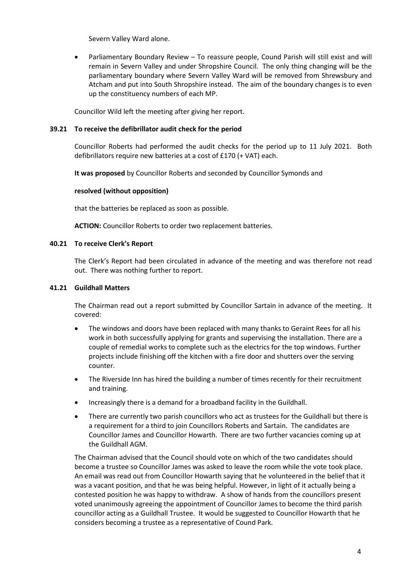Severn Valley Ward alone.

• Parliamentary Boundary Review – To reassure people, Cound Parish will still exist and will remain in Severn Valley and under Shropshire Council. The only thing changing will be the parliamentary boundary where Severn Valley Ward will be removed from Shrewsbury and Atcham and put into South Shropshire instead. The aim of the boundary changes is to even up the constituency numbers of each MP.

Councillor Wild left the meeting after giving her report.

## **39.21 To receive the defibrillator audit check for the period**

Councillor Roberts had performed the audit checks for the period up to 11 July 2021. Both defibrillators require new batteries at a cost of £170 (+ VAT) each.

**It was proposed** by Councillor Roberts and seconded by Councillor Symonds and

# **resolved (without opposition)**

that the batteries be replaced as soon as possible.

**ACTION:** Councillor Roberts to order two replacement batteries.

# **40.21 To receive Clerk's Report**

The Clerk's Report had been circulated in advance of the meeting and was therefore not read out. There was nothing further to report.

## **41.21 Guildhall Matters**

The Chairman read out a report submitted by Councillor Sartain in advance of the meeting. It covered:

- The windows and doors have been replaced with many thanks to Geraint Rees for all his work in both successfully applying for grants and supervising the installation. There are a couple of remedial works to complete such as the electrics for the top windows. Further projects include finishing off the kitchen with a fire door and shutters over the serving counter.
- The Riverside Inn has hired the building a number of times recently for their recruitment and training.
- Increasingly there is a demand for a broadband facility in the Guildhall.
- There are currently two parish councillors who act as trustees for the Guildhall but there is a requirement for a third to join Councillors Roberts and Sartain. The candidates are Councillor James and Councillor Howarth. There are two further vacancies coming up at the Guildhall AGM.

The Chairman advised that the Council should vote on which of the two candidates should become a trustee so Councillor James was asked to leave the room while the vote took place. An email was read out from Councillor Howarth saying that he volunteered in the belief that it was a vacant position, and that he was being helpful. However, in light of it actually being a contested position he was happy to withdraw. A show of hands from the councillors present voted unanimously agreeing the appointment of Councillor James to become the third parish councillor acting as a Guildhall Trustee. It would be suggested to Councillor Howarth that he considers becoming a trustee as a representative of Cound Park.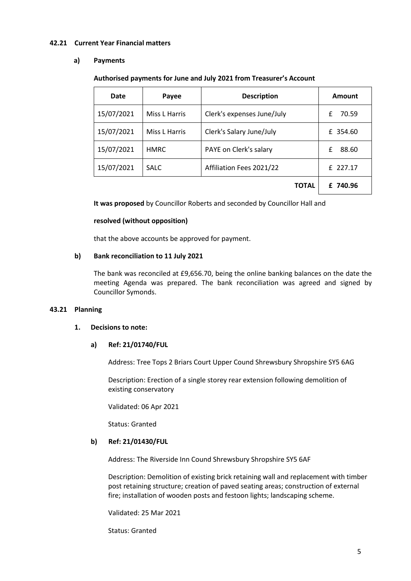#### **42.21 Current Year Financial matters**

#### **a) Payments**

#### **Authorised payments for June and July 2021 from Treasurer's Account**

| Date       | Payee         | <b>Description</b>         | Amount     |
|------------|---------------|----------------------------|------------|
| 15/07/2021 | Miss L Harris | Clerk's expenses June/July | 70.59<br>£ |
| 15/07/2021 | Miss L Harris | Clerk's Salary June/July   | £ 354.60   |
| 15/07/2021 | <b>HMRC</b>   | PAYE on Clerk's salary     | £<br>88.60 |
| 15/07/2021 | <b>SALC</b>   | Affiliation Fees 2021/22   | £ 227.17   |
|            |               | TOTAL                      | £ 740.96   |

**It was proposed** by Councillor Roberts and seconded by Councillor Hall and

#### **resolved (without opposition)**

that the above accounts be approved for payment.

## **b) Bank reconciliation to 11 July 2021**

The bank was reconciled at £9,656.70, being the online banking balances on the date the meeting Agenda was prepared. The bank reconciliation was agreed and signed by Councillor Symonds.

## **43.21 Planning**

#### **1. Decisions to note:**

## **a) Ref: 21/01740/FUL**

Address: Tree Tops 2 Briars Court Upper Cound Shrewsbury Shropshire SY5 6AG

Description: Erection of a single storey rear extension following demolition of existing conservatory

Validated: 06 Apr 2021

Status: Granted

## **b) Ref: 21/01430/FUL**

Address: The Riverside Inn Cound Shrewsbury Shropshire SY5 6AF

Description: Demolition of existing brick retaining wall and replacement with timber post retaining structure; creation of paved seating areas; construction of external fire; installation of wooden posts and festoon lights; landscaping scheme.

Validated: 25 Mar 2021

Status: Granted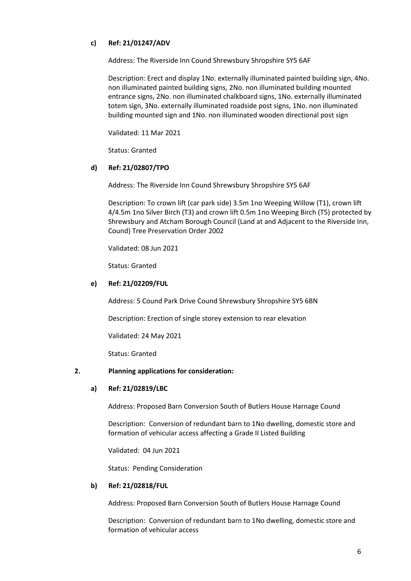# **c) Ref: 21/01247/ADV**

Address: The Riverside Inn Cound Shrewsbury Shropshire SY5 6AF

Description: Erect and display 1No. externally illuminated painted building sign, 4No. non illuminated painted building signs, 2No. non illuminated building mounted entrance signs, 2No. non illuminated chalkboard signs, 1No. externally illuminated totem sign, 3No. externally illuminated roadside post signs, 1No. non illuminated building mounted sign and 1No. non illuminated wooden directional post sign

Validated: 11 Mar 2021

Status: Granted

# **d) Ref: 21/02807/TPO**

Address: The Riverside Inn Cound Shrewsbury Shropshire SY5 6AF

Description: To crown lift (car park side) 3.5m 1no Weeping Willow (T1), crown lift 4/4.5m 1no Silver Birch (T3) and crown lift 0.5m 1no Weeping Birch (T5) protected by Shrewsbury and Atcham Borough Council (Land at and Adjacent to the Riverside Inn, Cound) Tree Preservation Order 2002

Validated: 08 Jun 2021

Status: Granted

# **e) Ref: 21/02209/FUL**

Address: 5 Cound Park Drive Cound Shrewsbury Shropshire SY5 6BN

Description: Erection of single storey extension to rear elevation

Validated: 24 May 2021

Status: Granted

## **2. Planning applications for consideration:**

## **a) Ref: 21/02819/LBC**

Address: Proposed Barn Conversion South of Butlers House Harnage Cound

Description: Conversion of redundant barn to 1No dwelling, domestic store and formation of vehicular access affecting a Grade II Listed Building

Validated: 04 Jun 2021

Status: Pending Consideration

## **b) Ref: 21/02818/FUL**

Address: Proposed Barn Conversion South of Butlers House Harnage Cound

Description: Conversion of redundant barn to 1No dwelling, domestic store and formation of vehicular access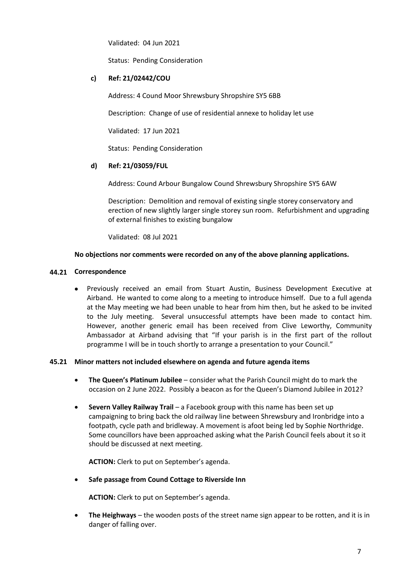Validated: 04 Jun 2021

Status: Pending Consideration

## **c) Ref: 21/02442/COU**

Address: 4 Cound Moor Shrewsbury Shropshire SY5 6BB

Description: Change of use of residential annexe to holiday let use

Validated: 17 Jun 2021

Status: Pending Consideration

## **d) Ref: 21/03059/FUL**

Address: Cound Arbour Bungalow Cound Shrewsbury Shropshire SY5 6AW

Description: Demolition and removal of existing single storey conservatory and erection of new slightly larger single storey sun room. Refurbishment and upgrading of external finishes to existing bungalow

Validated: 08 Jul 2021

#### **No objections nor comments were recorded on any of the above planning applications.**

#### **44.21 Correspondence**

• Previously received an email from Stuart Austin, Business Development Executive at Airband. He wanted to come along to a meeting to introduce himself. Due to a full agenda at the May meeting we had been unable to hear from him then, but he asked to be invited to the July meeting. Several unsuccessful attempts have been made to contact him. However, another generic email has been received from Clive Leworthy, Community Ambassador at Airband advising that "If your parish is in the first part of the rollout programme I will be in touch shortly to arrange a presentation to your Council."

## **45.21 Minor matters not included elsewhere on agenda and future agenda items**

- **The Queen's Platinum Jubilee** consider what the Parish Council might do to mark the occasion on 2 June 2022. Possibly a beacon as for the Queen's Diamond Jubilee in 2012?
- **Severn Valley Railway Trail**  a Facebook group with this name has been set up campaigning to bring back the old railway line between Shrewsbury and Ironbridge into a footpath, cycle path and bridleway. A movement is afoot being led by Sophie Northridge. Some councillors have been approached asking what the Parish Council feels about it so it should be discussed at next meeting.

**ACTION:** Clerk to put on September's agenda.

## • **Safe passage from Cound Cottage to Riverside Inn**

**ACTION:** Clerk to put on September's agenda.

• **The Heighways** – the wooden posts of the street name sign appear to be rotten, and it is in danger of falling over.